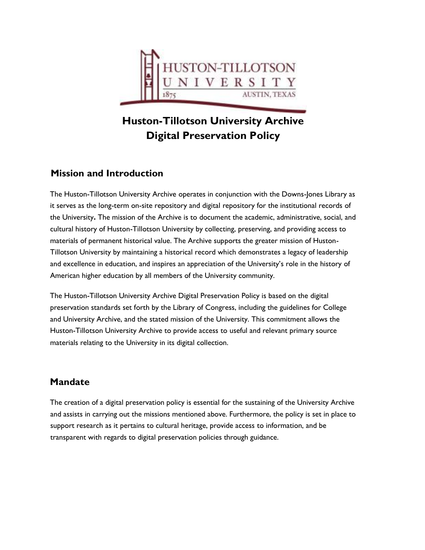

# **Huston-Tillotson University Archive Digital Preservation Policy**

# **Mission and Introduction**

The Huston-Tillotson University Archive operates in conjunction with the Downs-Jones Library as it serves as the long-term on-site repository and digital repository for the institutional records of the University**.** The mission of the Archive is to document the academic, administrative, social, and cultural history of Huston-Tillotson University by collecting, preserving, and providing access to materials of permanent historical value. The Archive supports the greater mission of Huston-Tillotson University by maintaining a historical record which demonstrates a legacy of leadership and excellence in education, and inspires an appreciation of the University's role in the history of American higher education by all members of the University community.

The Huston-Tillotson University Archive Digital Preservation Policy is based on the digital preservation standards set forth by the Library of Congress, including the guidelines for College and University Archive, and the stated mission of the University. This commitment allows the Huston-Tillotson University Archive to provide access to useful and relevant primary source materials relating to the University in its digital collection.

### **Mandate**

The creation of a digital preservation policy is essential for the sustaining of the University Archive and assists in carrying out the missions mentioned above. Furthermore, the policy is set in place to support research as it pertains to cultural heritage, provide access to information, and be transparent with regards to digital preservation policies through guidance.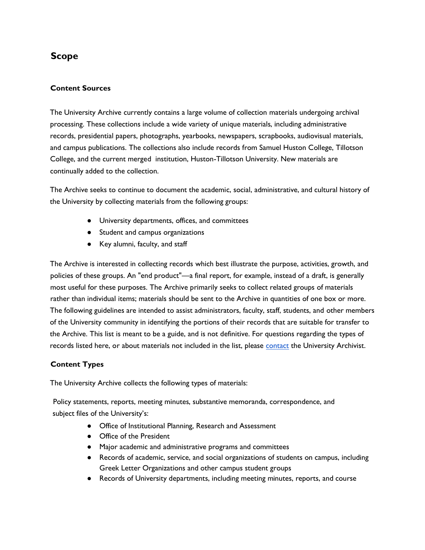# **Scope**

### **Content Sources**

The University Archive currently contains a large volume of collection materials undergoing archival processing. These collections include a wide variety of unique materials, including administrative records, presidential papers, photographs, yearbooks, newspapers, scrapbooks, audiovisual materials, and campus publications. The collections also include records from Samuel Huston College, Tillotson College, and the current merged institution, Huston-Tillotson University. New materials are continually added to the collection.

The Archive seeks to continue to document the academic, social, administrative, and cultural history of the University by collecting materials from the following groups:

- University departments, offices, and committees
- Student and campus organizations
- Key alumni, faculty, and staff

The Archive is interested in collecting records which best illustrate the purpose, activities, growth, and policies of these groups. An "end product"—a final report, for example, instead of a draft, is generally most useful for these purposes. The Archive primarily seeks to collect related groups of materials rather than individual items; materials should be sent to the Archive in quantities of one box or more. The following guidelines are intended to assist administrators, faculty, staff, students, and other members of the University community in identifying the portions of their records that are suitable for transfer to the Archive. This list is meant to be a guide, and is not definitive. For questions regarding the types of records listed here, or about materials not included in the list, please [contact](https://htu.edu/academics/library/about-the-library/staff) the University Archivist.

### **Content Types**

The University Archive collects the following types of materials:

Policy statements, reports, meeting minutes, substantive memoranda, correspondence, and subject files of the University's:

- Office of Institutional Planning, Research and Assessment
- Office of the President
- Major academic and administrative programs and committees
- Records of academic, service, and social organizations of students on campus, including Greek Letter Organizations and other campus student groups
- Records of University departments, including meeting minutes, reports, and course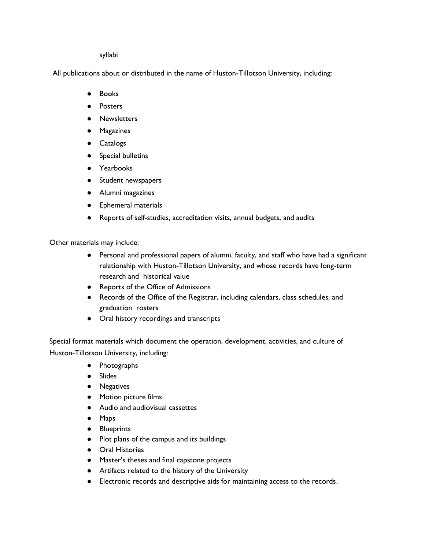#### syllabi

All publications about or distributed in the name of Huston-Tillotson University, including:

- Books
- Posters
- Newsletters
- Magazines
- Catalogs
- Special bulletins
- Yearbooks
- Student newspapers
- Alumni magazines
- Ephemeral materials
- Reports of self-studies, accreditation visits, annual budgets, and audits

Other materials may include:

- Personal and professional papers of alumni, faculty, and staff who have had a significant relationship with Huston-Tillotson University, and whose records have long-term research and historical value
- Reports of the Office of Admissions
- Records of the Office of the Registrar, including calendars, class schedules, and graduation rosters
- Oral history recordings and transcripts

Special format materials which document the operation, development, activities, and culture of Huston-Tillotson University, including:

- Photographs
- Slides
- Negatives
- Motion picture films
- Audio and audiovisual cassettes
- Maps
- Blueprints
- Plot plans of the campus and its buildings
- Oral Histories
- Master's theses and final capstone projects
- Artifacts related to the history of the University
- Electronic records and descriptive aids for maintaining access to the records.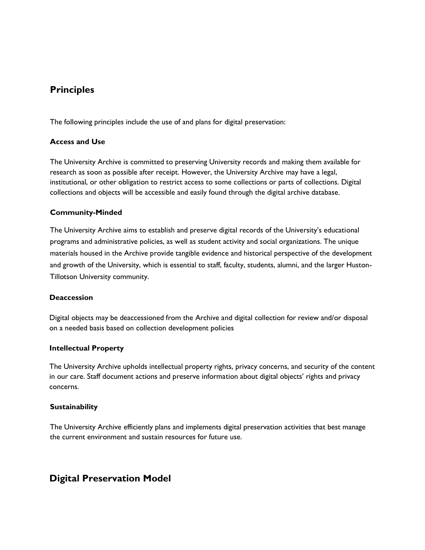### **Principles**

The following principles include the use of and plans for digital preservation:

#### **Access and Use**

The University Archive is committed to preserving University records and making them available for research as soon as possible after receipt. However, the University Archive may have a legal, institutional, or other obligation to restrict access to some collections or parts of collections. Digital collections and objects will be accessible and easily found through the digital archive database.

#### **Community-Minded**

The University Archive aims to establish and preserve digital records of the University's educational programs and administrative policies, as well as student activity and social organizations. The unique materials housed in the Archive provide tangible evidence and historical perspective of the development and growth of the University, which is essential to staff, faculty, students, alumni, and the larger Huston-Tillotson University community.

#### **Deaccession**

Digital objects may be deaccessioned from the Archive and digital collection for review and/or disposal on a needed basis based on collection development policies

#### **Intellectual Property**

The University Archive upholds intellectual property rights, privacy concerns, and security of the content in our care. Staff document actions and preserve information about digital objects' rights and privacy concerns.

### **Sustainability**

The University Archive efficiently plans and implements digital preservation activities that best manage the current environment and sustain resources for future use.

# **Digital Preservation Model**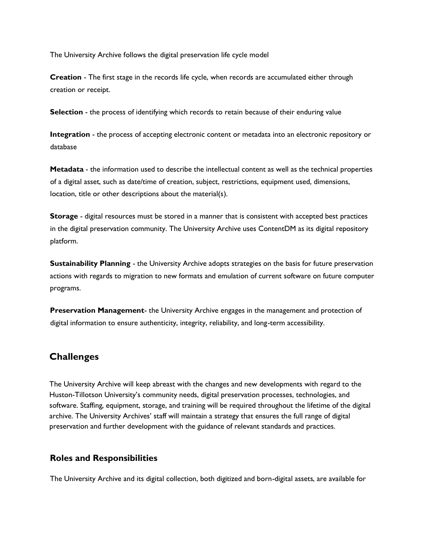The University Archive follows the digital preservation life cycle model

**Creation** - The first stage in the records life cycle, when records are accumulated either through creation or receipt.

**Selection** - the process of identifying which records to retain because of their enduring value

**Integration** - the process of accepting electronic content or metadata into an electronic repository or database

**Metadata** - the information used to describe the intellectual content as well as the technical properties of a digital asset, such as date/time of creation, subject, restrictions, equipment used, dimensions, location, title or other descriptions about the material(s).

**Storage** - digital resources must be stored in a manner that is consistent with accepted best practices in the digital preservation community. The University Archive uses ContentDM as its digital repository platform.

**Sustainability Planning** - the University Archive adopts strategies on the basis for future preservation actions with regards to migration to new formats and emulation of current software on future computer programs.

**Preservation Management**- the University Archive engages in the management and protection of digital information to ensure authenticity, integrity, reliability, and long-term accessibility.

### **Challenges**

The University Archive will keep abreast with the changes and new developments with regard to the Huston-Tillotson University's community needs, digital preservation processes, technologies, and software. Staffing, equipment, storage, and training will be required throughout the lifetime of the digital archive. The University Archives' staff will maintain a strategy that ensures the full range of digital preservation and further development with the guidance of relevant standards and practices.

### **Roles and Responsibilities**

The University Archive and its digital collection, both digitized and born-digital assets, are available for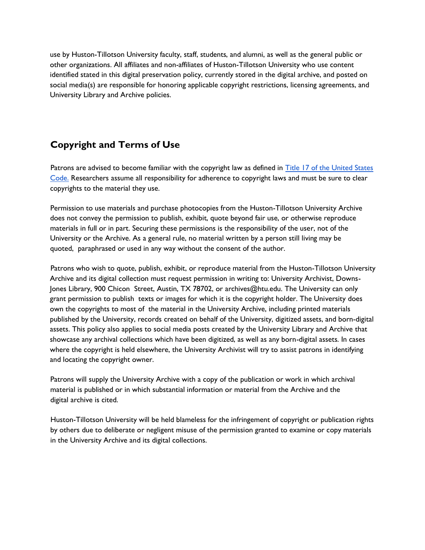use by Huston-Tillotson University faculty, staff, students, and alumni, as well as the general public or other organizations. All affiliates and non-affiliates of Huston-Tillotson University who use content identified stated in this digital preservation policy, currently stored in the digital archive, and posted on social media(s) are responsible for honoring applicable copyright restrictions, licensing agreements, and University Library and Archive policies.

# **Copyright and Terms of Use**

Patrons are advised to become familiar with the copyright law as defined in Title 17 of the United States [Code.](https://www.copyright.gov/title17/) Researchers assume all responsibility for adherence to copyright laws and must be sure to clear copyrights to the material they use.

Permission to use materials and purchase photocopies from the Huston-Tillotson University Archive does not convey the permission to publish, exhibit, quote beyond fair use, or otherwise reproduce materials in full or in part. Securing these permissions is the responsibility of the user, not of the University or the Archive. As a general rule, no material written by a person still living may be quoted, paraphrased or used in any way without the consent of the author.

Patrons who wish to quote, publish, exhibit, or reproduce material from the Huston-Tillotson University Archive and its digital collection must request permission in writing to: University Archivist, Downs-Jones Library, 900 Chicon Street, Austin, TX 78702, or archives@htu.edu. The University can only grant permission to publish texts or images for which it is the copyright holder. The University does own the copyrights to most of the material in the University Archive, including printed materials published by the University, records created on behalf of the University, digitized assets, and born-digital assets. This policy also applies to social media posts created by the University Library and Archive that showcase any archival collections which have been digitized, as well as any born-digital assets. In cases where the copyright is held elsewhere, the University Archivist will try to assist patrons in identifying and locating the copyright owner.

Patrons will supply the University Archive with a copy of the publication or work in which archival material is published or in which substantial information or material from the Archive and the digital archive is cited.

Huston-Tillotson University will be held blameless for the infringement of copyright or publication rights by others due to deliberate or negligent misuse of the permission granted to examine or copy materials in the University Archive and its digital collections.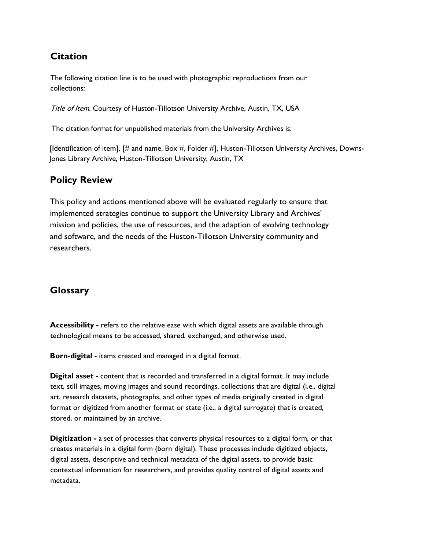# **Citation**

The following citation line is to be used with photographic reproductions from our collections:

Title of Item. Courtesy of Huston-Tillotson University Archive, Austin, TX, USA

The citation format for unpublished materials from the University Archives is:

[Identification of item], [# and name, Box #, Folder #], Huston-Tillotson University Archives, Downs-Jones Library Archive, Huston-Tillotson University, Austin, TX

### **Policy Review**

This policy and actions mentioned above will be evaluated regularly to ensure that implemented strategies continue to support the University Library and Archives' mission and policies, the use of resources, and the adaption of evolving technology and software, and the needs of the Huston-Tillotson University community and researchers.

### **Glossary**

**Accessibility -** refers to the relative ease with which digital assets are available through technological means to be accessed, shared, exchanged, and otherwise used.

**Born-digital -** items created and managed in a digital format.

**Digital asset -** content that is recorded and transferred in a digital format. It may include text, still images, moving images and sound recordings, collections that are digital (i.e., digital art, research datasets, photographs, and other types of media originally created in digital format or digitized from another format or state (i.e., a digital surrogate) that is created, stored, or maintained by an archive.

**Digitization -** a set of processes that converts physical resources to a digital form, or that creates materials in a digital form (born digital). These processes include digitized objects, digital assets, descriptive and technical metadata of the digital assets, to provide basic contextual information for researchers, and provides quality control of digital assets and metadata.